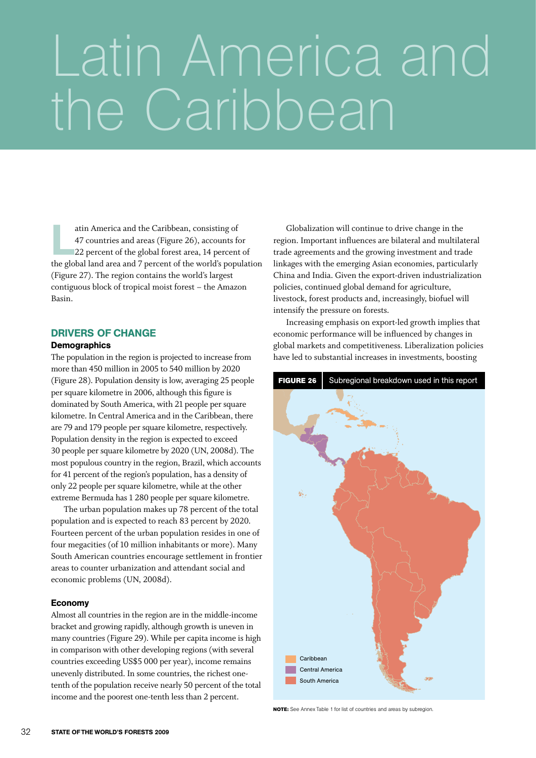# the Caribbean Latin America and

atin America and the Caribbean, consisting of<br>47 countries and areas (Figure 26), accounts f<br>22 percent of the global forest area, 14 percent<br>the global land area and 7 percent of the world's percent 47 countries and areas (Figure 26), accounts for 22 percent of the global forest area, 14 percent of the global land area and 7 percent of the world's population (Figure 27). The region contains the world's largest contiguous block of tropical moist forest – the Amazon Basin.

## Drivers of change

#### **Demographics**

The population in the region is projected to increase from more than 450 million in 2005 to 540 million by 2020 (Figure 28). Population density is low, averaging 25 people per square kilometre in 2006, although this figure is dominated by South America, with 21 people per square kilometre. In Central America and in the Caribbean, there are 79 and 179 people per square kilometre, respectively. Population density in the region is expected to exceed 30 people per square kilometre by 2020 (UN, 2008d). The most populous country in the region, Brazil, which accounts for 41 percent of the region's population, has a density of only 22 people per square kilometre, while at the other extreme Bermuda has 1 280 people per square kilometre.

The urban population makes up 78 percent of the total population and is expected to reach 83 percent by 2020. Fourteen percent of the urban population resides in one of four megacities (of 10 million inhabitants or more). Many South American countries encourage settlement in frontier areas to counter urbanization and attendant social and economic problems (UN, 2008d).

#### Economy

Almost all countries in the region are in the middle-income bracket and growing rapidly, although growth is uneven in many countries (Figure 29). While per capita income is high in comparison with other developing regions (with several countries exceeding US\$5 000 per year), income remains unevenly distributed. In some countries, the richest onetenth of the population receive nearly 50 percent of the total income and the poorest one-tenth less than 2 percent.

Globalization will continue to drive change in the region. Important influences are bilateral and multilateral trade agreements and the growing investment and trade linkages with the emerging Asian economies, particularly China and India. Given the export-driven industrialization policies, continued global demand for agriculture, livestock, forest products and, increasingly, biofuel will intensify the pressure on forests.

Increasing emphasis on export-led growth implies that economic performance will be influenced by changes in global markets and competitiveness. Liberalization policies have led to substantial increases in investments, boosting



**NOTE:** See Annex Table 1 for list of countries and areas by subregion.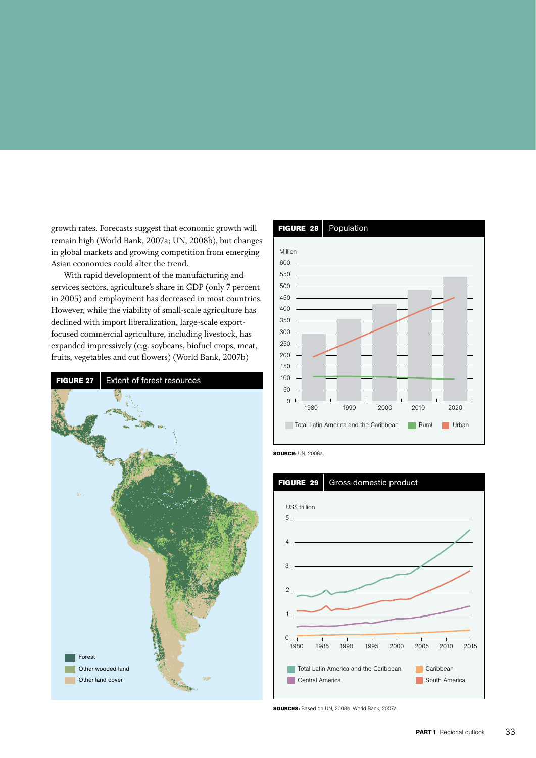growth rates. Forecasts suggest that economic growth will remain high (World Bank, 2007a; UN, 2008b), but changes in global markets and growing competition from emerging Asian economies could alter the trend.

With rapid development of the manufacturing and services sectors, agriculture's share in GDP (only 7 percent in 2005) and employment has decreased in most countries. However, while the viability of small-scale agriculture has declined with import liberalization, large-scale exportfocused commercial agriculture, including livestock, has expanded impressively (e.g. soybeans, biofuel crops, meat, fruits, vegetables and cut flowers) (World Bank, 2007b)





**Source:** UN, 2008a.



**Sources:** Based on UN, 2008b; World Bank, 2007a.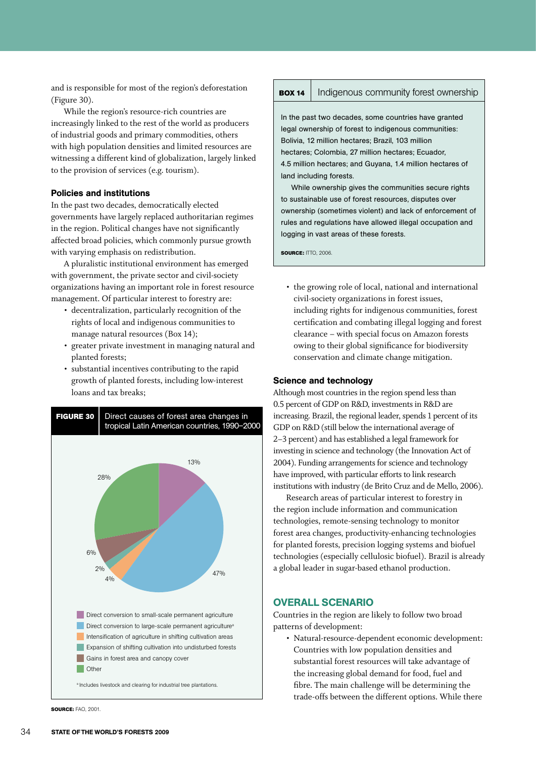and is responsible for most of the region's deforestation (Figure 30).

While the region's resource-rich countries are increasingly linked to the rest of the world as producers of industrial goods and primary commodities, others with high population densities and limited resources are witnessing a different kind of globalization, largely linked to the provision of services (e.g. tourism).

## Policies and institutions

In the past two decades, democratically elected governments have largely replaced authoritarian regimes in the region. Political changes have not significantly affected broad policies, which commonly pursue growth with varying emphasis on redistribution.

A pluralistic institutional environment has emerged with government, the private sector and civil-society organizations having an important role in forest resource management. Of particular interest to forestry are:

- • decentralization, particularly recognition of the rights of local and indigenous communities to manage natural resources (Box 14);
- • greater private investment in managing natural and planted forests;
- • substantial incentives contributing to the rapid growth of planted forests, including low-interest loans and tax breaks;



**Source:** FAO, 2001.

#### **BOX 14** | Indigenous community forest ownership

In the past two decades, some countries have granted legal ownership of forest to indigenous communities: Bolivia, 12 million hectares; Brazil, 103 million hectares; Colombia, 27 million hectares; Ecuador, 4.5 million hectares; and Guyana, 1.4 million hectares of land including forests.

While ownership gives the communities secure rights to sustainable use of forest resources, disputes over ownership (sometimes violent) and lack of enforcement of rules and regulations have allowed illegal occupation and logging in vast areas of these forests.

**source:** ITTO, 2006.

• the growing role of local, national and international civil-society organizations in forest issues, including rights for indigenous communities, forest certification and combating illegal logging and forest clearance – with special focus on Amazon forests owing to their global significance for biodiversity conservation and climate change mitigation.

#### Science and technology

Although most countries in the region spend less than 0.5 percent of GDP on R&D, investments in R&D are increasing. Brazil, the regional leader, spends 1 percent of its GDP on R&D (still below the international average of 2–3 percent) and has established a legal framework for investing in science and technology (the Innovation Act of 2004). Funding arrangements for science and technology have improved, with particular efforts to link research institutions with industry (de Brito Cruz and de Mello, 2006).

Research areas of particular interest to forestry in the region include information and communication technologies, remote-sensing technology to monitor forest area changes, productivity-enhancing technologies for planted forests, precision logging systems and biofuel technologies (especially cellulosic biofuel). Brazil is already a global leader in sugar-based ethanol production.

#### Overall scenario

Countries in the region are likely to follow two broad patterns of development:

• Natural-resource-dependent economic development: Countries with low population densities and substantial forest resources will take advantage of the increasing global demand for food, fuel and fibre. The main challenge will be determining the trade-offs between the different options. While there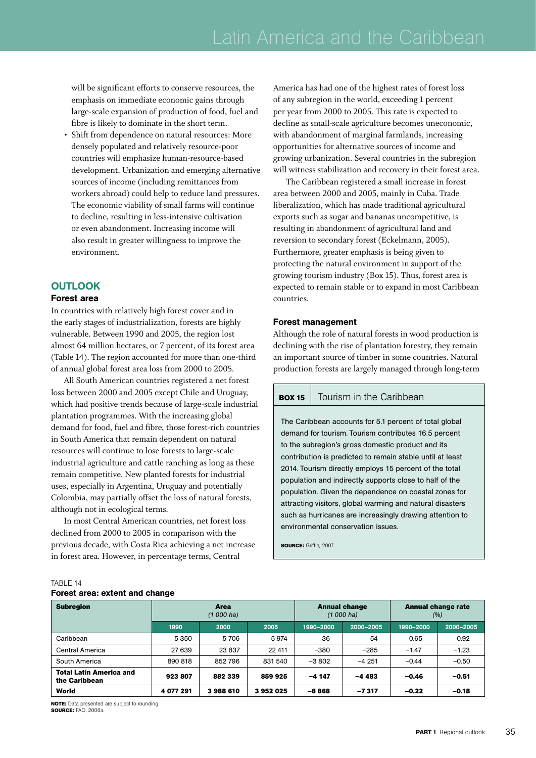will be significant efforts to conserve resources, the emphasis on immediate economic gains through large-scale expansion of production of food, fuel and fibre is likely to dominate in the short term.

Shift from dependence on natural resources: More densely populated and relatively resource-poor countries will emphasize human-resource-based development. Urbanization and emerging alternative sources of income (including remittances from workers abroad) could help to reduce land pressures. The economic viability of small farms will continue to decline, resulting in less-intensive cultivation or even abandonment. Increasing income will also result in greater willingness to improve the environment.

## **OUTLOOK**

#### Forest area

In countries with relatively high forest cover and in the early stages of industrialization, forests are highly vulnerable. Between 1990 and 2005, the region lost almost 64 million hectares, or 7 percent, of its forest area (Table 14). The region accounted for more than one-third of annual global forest area loss from 2000 to 2005.

All South American countries registered a net forest loss between 2000 and 2005 except Chile and Uruguay, which had positive trends because of large-scale industrial plantation programmes. With the increasing global demand for food, fuel and fibre, those forest-rich countries in South America that remain dependent on natural resources will continue to lose forests to large-scale industrial agriculture and cattle ranching as long as these remain competitive. New planted forests for industrial uses, especially in Argentina, Uruguay and potentially Colombia, may partially offset the loss of natural forests, although not in ecological terms.

In most Central American countries, net forest loss declined from 2000 to 2005 in comparison with the previous decade, with Costa Rica achieving a net increase in forest area. However, in percentage terms, Central

America has had one of the highest rates of forest loss of any subregion in the world, exceeding 1 percent per year from 2000 to 2005. This rate is expected to decline as small-scale agriculture becomes uneconomic, with abandonment of marginal farmlands, increasing opportunities for alternative sources of income and growing urbanization. Several countries in the subregion will witness stabilization and recovery in their forest area.

The Caribbean registered a small increase in forest area between 2000 and 2005, mainly in Cuba. Trade liberalization, which has made traditional agricultural exports such as sugar and bananas uncompetitive, is resulting in abandonment of agricultural land and reversion to secondary forest (Eckelmann, 2005). Furthermore, greater emphasis is being given to protecting the natural environment in support of the growing tourism industry (Box 15). Thus, forest area is expected to remain stable or to expand in most Caribbean countries.

#### Forest management

Although the role of natural forests in wood production is declining with the rise of plantation forestry, they remain an important source of timber in some countries. Natural production forests are largely managed through long-term

#### **BOX 15** | Tourism in the Caribbean

The Caribbean accounts for 5.1 percent of total global demand for tourism. Tourism contributes 16.5 percent to the subregion's gross domestic product and its contribution is predicted to remain stable until at least 2014. Tourism directly employs 15 percent of the total population and indirectly supports close to half of the population. Given the dependence on coastal zones for attracting visitors, global warming and natural disasters such as hurricanes are increasingly drawing attention to environmental conservation issues.

**source:** Griffin*,* 2007.

| <b>Subregion</b>                                | Area<br>$(1000)$ ha) |         |         | <b>Annual change</b><br>$(1000)$ ha) |           | <b>Annual change rate</b><br>(%) |           |
|-------------------------------------------------|----------------------|---------|---------|--------------------------------------|-----------|----------------------------------|-----------|
|                                                 | 1990                 | 2000    | 2005    | 1990-2000                            | 2000-2005 | 1990-2000                        | 2000-2005 |
| Caribbean                                       | 5 3 5 0              | 5 706   | 5974    | 36                                   | 54        | 0.65                             | 0.92      |
| Central America                                 | 27 639               | 23837   | 22 411  | $-380$                               | $-285$    | $-1.47$                          | $-1.23$   |
| South America                                   | 890 818              | 852796  | 831 540 | $-3802$                              | $-4251$   | $-0.44$                          | $-0.50$   |
| <b>Total Latin America and</b><br>the Caribbean | 923807               | 882 339 | 859 925 | $-4147$                              | $-4483$   | $-0.46$                          | $-0.51$   |
| World                                           | 4 077 291            | 3988610 | 3952025 | -8868                                | $-7317$   | $-0.22$                          | $-0.18$   |

**NOTE:** Data presented are subject to rounding **source:** FAO, 2006a.

Forest area: extent and change

TARI F 14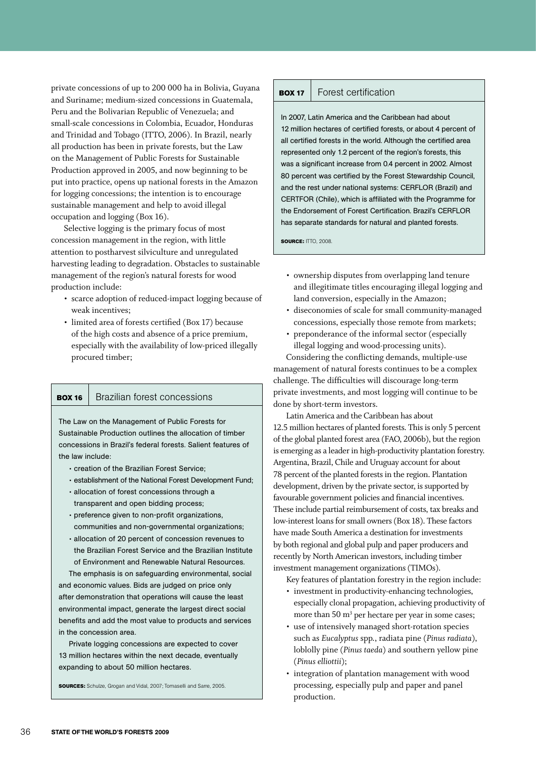private concessions of up to 200 000 ha in Bolivia, Guyana and Suriname; medium-sized concessions in Guatemala, Peru and the Bolivarian Republic of Venezuela; and small-scale concessions in Colombia, Ecuador, Honduras and Trinidad and Tobago (ITTO, 2006). In Brazil, nearly all production has been in private forests, but the Law on the Management of Public Forests for Sustainable Production approved in 2005, and now beginning to be put into practice, opens up national forests in the Amazon for logging concessions; the intention is to encourage sustainable management and help to avoid illegal occupation and logging (Box 16).

Selective logging is the primary focus of most concession management in the region, with little attention to postharvest silviculture and unregulated harvesting leading to degradation. Obstacles to sustainable management of the region's natural forests for wood production include:

- • scarce adoption of reduced-impact logging because of weak incentives;
- limited area of forests certified (Box 17) because of the high costs and absence of a price premium, especially with the availability of low-priced illegally procured timber;

#### **BOX 16** Brazilian forest concessions

The Law on the Management of Public Forests for Sustainable Production outlines the allocation of timber concessions in Brazil's federal forests. Salient features of the law include:

- • creation of the Brazilian Forest Service;
- establishment of the National Forest Development Fund;
- allocation of forest concessions through a transparent and open bidding process;
- • preference given to non-profit organizations, communities and non-governmental organizations;
- • allocation of 20 percent of concession revenues to the Brazilian Forest Service and the Brazilian Institute of Environment and Renewable Natural Resources.

The emphasis is on safeguarding environmental, social and economic values. Bids are judged on price only after demonstration that operations will cause the least environmental impact, generate the largest direct social benefits and add the most value to products and services in the concession area.

Private logging concessions are expected to cover 13 million hectares within the next decade, eventually expanding to about 50 million hectares.

**sources:** Schulze, Grogan and Vidal, 2007; Tomaselli and Sarre, 2005.

#### **BOX 17** Forest certification

In 2007, Latin America and the Caribbean had about 12 million hectares of certified forests, or about 4 percent of all certified forests in the world. Although the certified area represented only 1.2 percent of the region's forests, this was a significant increase from 0.4 percent in 2002. Almost 80 percent was certified by the Forest Stewardship Council, and the rest under national systems: CERFLOR (Brazil) and CERTFOR (Chile), which is affiliated with the Programme for the Endorsement of Forest Certification. Brazil's CERFLOR has separate standards for natural and planted forests.

**source:** ITTO, 2008.

- • ownership disputes from overlapping land tenure and illegitimate titles encouraging illegal logging and land conversion, especially in the Amazon;
- • diseconomies of scale for small community-managed concessions, especially those remote from markets;
- preponderance of the informal sector (especially illegal logging and wood-processing units).

Considering the conflicting demands, multiple-use management of natural forests continues to be a complex challenge. The difficulties will discourage long-term private investments, and most logging will continue to be done by short-term investors.

Latin America and the Caribbean has about 12.5 million hectares of planted forests. This is only 5 percent of the global planted forest area (FAO, 2006b), but the region is emerging as a leader in high-productivity plantation forestry. Argentina, Brazil, Chile and Uruguay account for about 78 percent of the planted forests in the region. Plantation development, driven by the private sector, is supported by favourable government policies and financial incentives. These include partial reimbursement of costs, tax breaks and low-interest loans for small owners (Box 18). These factors have made South America a destination for investments by both regional and global pulp and paper producers and recently by North American investors, including timber investment management organizations (TIMOs).

Key features of plantation forestry in the region include:

- investment in productivity-enhancing technologies, especially clonal propagation, achieving productivity of more than 50  $m<sup>3</sup>$  per hectare per year in some cases;
- use of intensively managed short-rotation species such as *Eucalyptus* spp., radiata pine (*Pinus radiata*), loblolly pine (*Pinus taeda*) and southern yellow pine (*Pinus elliottii*);
- integration of plantation management with wood processing, especially pulp and paper and panel production.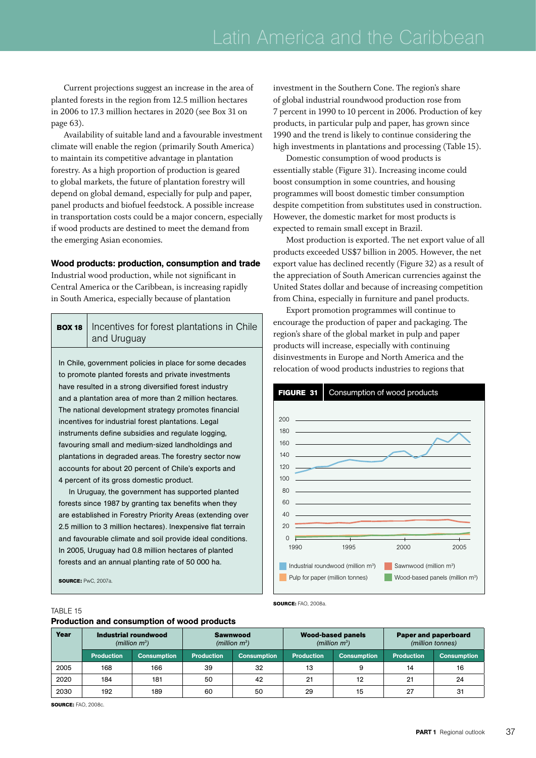Current projections suggest an increase in the area of planted forests in the region from 12.5 million hectares in 2006 to 17.3 million hectares in 2020 (see Box 31 on page 63).

Availability of suitable land and a favourable investment climate will enable the region (primarily South America) to maintain its competitive advantage in plantation forestry. As a high proportion of production is geared to global markets, the future of plantation forestry will depend on global demand, especially for pulp and paper, panel products and biofuel feedstock. A possible increase in transportation costs could be a major concern, especially if wood products are destined to meet the demand from the emerging Asian economies.

## Wood products: production, consumption and trade

Industrial wood production, while not significant in Central America or the Caribbean, is increasing rapidly in South America, especially because of plantation

# **BOX 18** | Incentives for forest plantations in Chile and Uruguay

to promote planted forests and private investments have resulted in a strong diversified forest industry and a plantation area of more than 2 million hectares. The national development strategy promotes financial incentives for industrial forest plantations. Legal instruments define subsidies and regulate logging, favouring small and medium-sized landholdings and plantations in degraded areas. The forestry sector now accounts for about 20 percent of Chile's exports and 4 percent of its gross domestic product.

In Uruguay, the government has supported planted forests since 1987 by granting tax benefits when they are established in Forestry Priority Areas (extending over 2.5 million to 3 million hectares). Inexpensive flat terrain and favourable climate and soil provide ideal conditions. In 2005, Uruguay had 0.8 million hectares of planted forests and an annual planting rate of 50 000 ha.

**source:** PwC, 2007a.

investment in the Southern Cone. The region's share of global industrial roundwood production rose from 7 percent in 1990 to 10 percent in 2006. Production of key products, in particular pulp and paper, has grown since 1990 and the trend is likely to continue considering the high investments in plantations and processing (Table 15).

Domestic consumption of wood products is essentially stable (Figure 31). Increasing income could boost consumption in some countries, and housing programmes will boost domestic timber consumption despite competition from substitutes used in construction. However, the domestic market for most products is expected to remain small except in Brazil.

Most production is exported. The net export value of all products exceeded US\$7 billion in 2005. However, the net export value has declined recently (Figure 32) as a result of the appreciation of South American currencies against the United States dollar and because of increasing competition from China, especially in furniture and panel products.

Export promotion programmes will continue to encourage the production of paper and packaging. The region's share of the global market in pulp and paper products will increase, especially with continuing disinvestments in Europe and North America and the In Chile, government policies in place for some decades<br>
In Chile, government policies in place for some decades<br>
In Chile, government policies in place for some decades<br>
In Chile, government policies in place for some dec



**Source:** FAO, 2008a.

#### TABLE 15

#### Production and consumption of wood products

| Year | Industrial roundwood<br>(million $m^3$ ) |                    | <b>Sawnwood</b><br>(million $m^3$ ) |                    | <b>Wood-based panels</b><br>(million $m^3$ ) |                    | Paper and paperboard<br>(million tonnes) |                    |
|------|------------------------------------------|--------------------|-------------------------------------|--------------------|----------------------------------------------|--------------------|------------------------------------------|--------------------|
|      | <b>Production</b>                        | <b>Consumption</b> | <b>Production</b>                   | <b>Consumption</b> | <b>Production</b>                            | <b>Consumption</b> | <b>Production</b>                        | <b>Consumption</b> |
| 2005 | 168                                      | 166                | 39                                  | 32                 | 13                                           |                    | 14                                       | 16                 |
| 2020 | 184                                      | 181                | 50                                  | 42                 | 21                                           | 12                 | 21                                       | 24                 |
| 2030 | 192                                      | 189                | 60                                  | 50                 | 29                                           | 15                 | 27                                       | 31                 |

**source:** FAO, 2008c.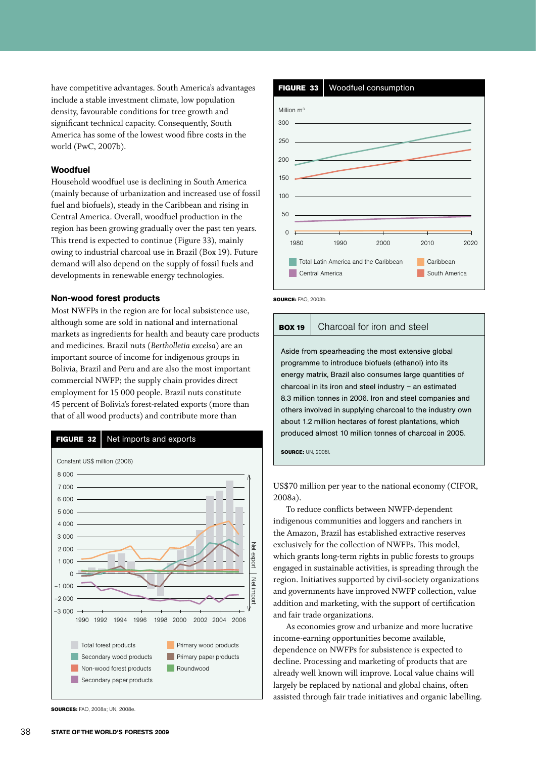have competitive advantages. South America's advantages include a stable investment climate, low population density, favourable conditions for tree growth and significant technical capacity. Consequently, South America has some of the lowest wood fibre costs in the world (PwC, 2007b).

#### Woodfuel

Household woodfuel use is declining in South America (mainly because of urbanization and increased use of fossil fuel and biofuels), steady in the Caribbean and rising in Central America. Overall, woodfuel production in the region has been growing gradually over the past ten years. This trend is expected to continue (Figure 33), mainly owing to industrial charcoal use in Brazil (Box 19). Future demand will also depend on the supply of fossil fuels and developments in renewable energy technologies.

#### Non-wood forest products

Most NWFPs in the region are for local subsistence use, although some are sold in national and international markets as ingredients for health and beauty care products and medicines. Brazil nuts (*Bertholletia excelsa*) are an important source of income for indigenous groups in Bolivia, Brazil and Peru and are also the most important commercial NWFP; the supply chain provides direct employment for 15 000 people. Brazil nuts constitute 45 percent of Bolivia's forest-related exports (more than that of all wood products) and contribute more than



**Sources:** FAO, 2008a; UN, 2008e.



**Source:** FAO, 2003b.

## **BOX 19** Charcoal for iron and steel

Aside from spearheading the most extensive global programme to introduce biofuels (ethanol) into its energy matrix, Brazil also consumes large quantities of charcoal in its iron and steel industry – an estimated 8.3 million tonnes in 2006. Iron and steel companies and others involved in supplying charcoal to the industry own about 1.2 million hectares of forest plantations, which produced almost 10 million tonnes of charcoal in 2005.

**source:** UN, 2008f.

US\$70 million per year to the national economy (CIFOR, 2008a).

To reduce conflicts between NWFP-dependent indigenous communities and loggers and ranchers in the Amazon, Brazil has established extractive reserves exclusively for the collection of NWFPs. This model, which grants long-term rights in public forests to groups engaged in sustainable activities, is spreading through the region. Initiatives supported by civil-society organizations and governments have improved NWFP collection, value addition and marketing, with the support of certification and fair trade organizations.

As economies grow and urbanize and more lucrative income-earning opportunities become available, dependence on NWFPs for subsistence is expected to decline. Processing and marketing of products that are already well known will improve. Local value chains will largely be replaced by national and global chains, often assisted through fair trade initiatives and organic labelling.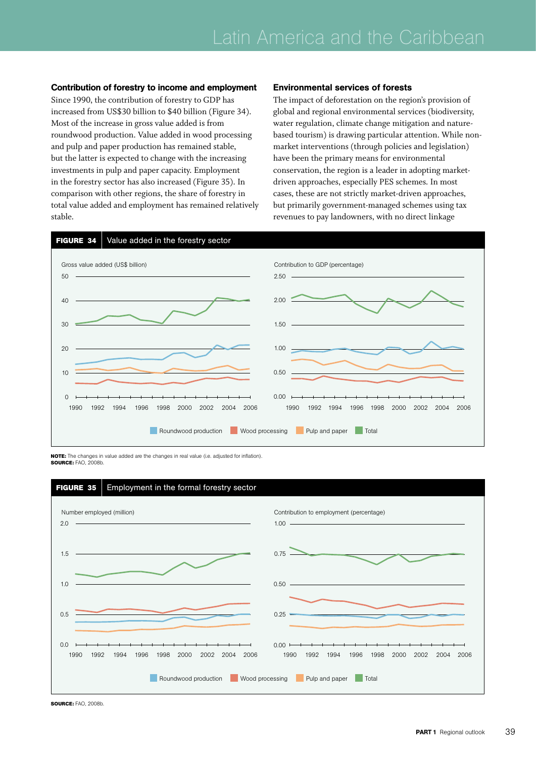Contribution of forestry to income and employment Since 1990, the contribution of forestry to GDP has increased from US\$30 billion to \$40 billion (Figure 34). Most of the increase in gross value added is from roundwood production. Value added in wood processing

and pulp and paper production has remained stable, but the latter is expected to change with the increasing investments in pulp and paper capacity. Employment in the forestry sector has also increased (Figure 35). In comparison with other regions, the share of forestry in total value added and employment has remained relatively stable.

#### Environmental services of forests

The impact of deforestation on the region's provision of global and regional environmental services (biodiversity, water regulation, climate change mitigation and naturebased tourism) is drawing particular attention. While nonmarket interventions (through policies and legislation) have been the primary means for environmental conservation, the region is a leader in adopting marketdriven approaches, especially PES schemes. In most cases, these are not strictly market-driven approaches, but primarily government-managed schemes using tax revenues to pay landowners, with no direct linkage



**NOTE:** The changes in value added are the changes in real value (i.e. adjusted for inflation). **Source:** FAO, 2008b.



**Source:** FAO, 2008b.